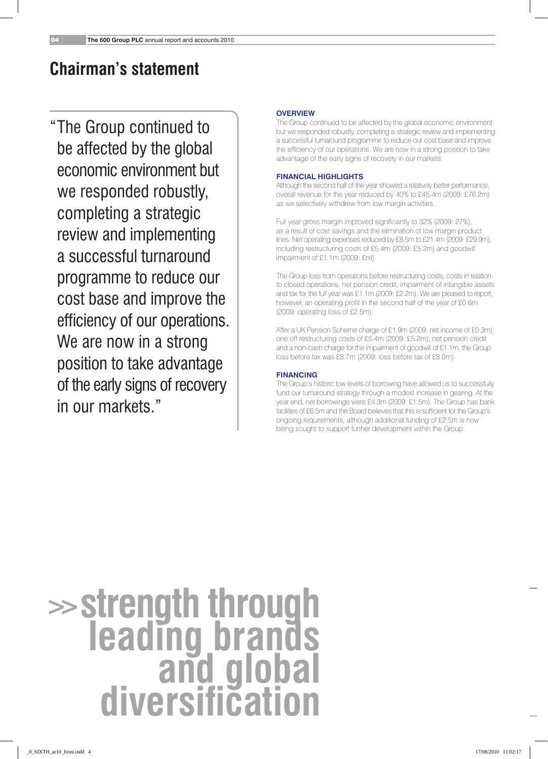# **Chairman's statement**

"The Group continued to be affected by the global economic environment but we responded robustly, completing a strategic review and implementing a successful turnaround programme to reduce our cost base and improve the efficiency of our operations. We are now in a strong position to take advantage of the early signs of recovery in our markets."

### **Overview**

The Group continued to be affected by the global economic environment but we responded robustly, completing a strategic review and implementing a successful turnaround programme to reduce our cost base and improve the efficiency of our operations. We are now in a strong position to take advantage of the early signs of recovery in our markets.

# **Financial Highlights**

Although the second half of the year showed a relatively better performance, overall revenue for the year reduced by 40% to £45.4m (2009: £76.2m) as we selectively withdrew from low margin activities.

Full year gross margin improved significantly to 32% (2009: 27%), as a result of cost savings and the elimination of low margin product lines. Net operating expenses reduced by £8.5m to £21.4m (2009: £29.9m), including restructuring costs of £5.4m (2009: £5.2m) and goodwill impairment of £1.1m (2009: £nil).

The Group loss from operations before restructuring costs, costs in relation to closed operations, net pension credit, impairment of intangible assets and tax for the full year was £1.1m (2009: £2.2m). We are pleased to report, however, an operating profit in the second half of the year of £0.6m (2009: operating loss of £2.5m).

After a UK Pension Scheme charge of £1.9m (2009: net income of £0.3m), one off restructuring costs of £5.4m (2009: £5.2m), net pension credit and a non-cash charge for the impairment of goodwill of £1.1m, the Group loss before tax was £8.7m (2009: loss before tax of £8.0m).

## **Financing**

The Group's historic low levels of borrowing have allowed us to successfully fund our turnaround strategy through a modest increase in gearing. At the year end, net borrowings were £4.3m (2009: £1.5m). The Group has bank facilities of £6.5m and the Board believes that this is sufficient for the Group's ongoing requirements, although additional funding of £2.5m is now being sought to support further development within the Group.

# **>>strength through leading brands and global diversification**